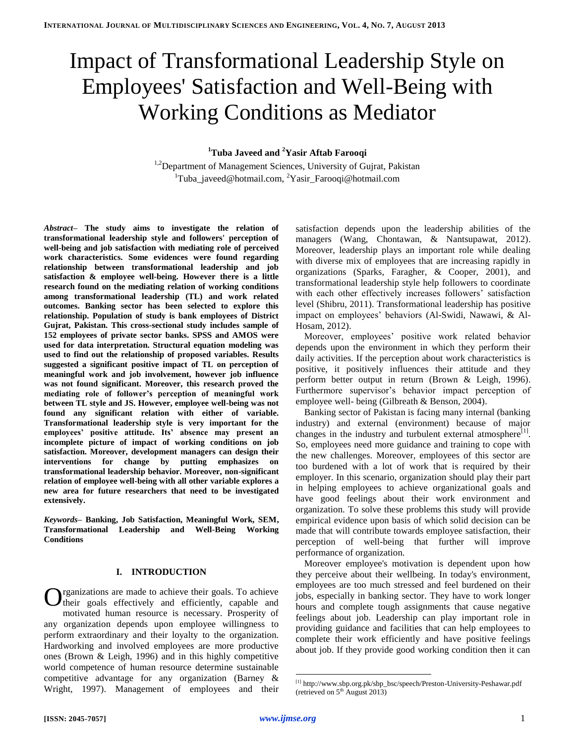# Impact of Transformational Leadership Style on Employees' Satisfaction and Well-Being with Working Conditions as Mediator

## **<sup>1</sup>Tuba Javeed and <sup>2</sup>Yasir Aftab Farooqi**

<sup>1,2</sup>Department of Management Sciences, University of Gujrat, Pakistan <sup>1</sup>Tuba javeed@hotmail.com, <sup>2</sup>Yasir Farooqi@hotmail.com

*Abstract–* **The study aims to investigate the relation of transformational leadership style and followers' perception of well-being and job satisfaction with mediating role of perceived work characteristics. Some evidences were found regarding relationship between transformational leadership and job satisfaction & employee well-being. However there is a little research found on the mediating relation of working conditions among transformational leadership (TL) and work related outcomes. Banking sector has been selected to explore this relationship. Population of study is bank employees of District Gujrat, Pakistan. This cross-sectional study includes sample of 152 employees of private sector banks. SPSS and AMOS were used for data interpretation. Structural equation modeling was used to find out the relationship of proposed variables. Results suggested a significant positive impact of TL on perception of meaningful work and job involvement, however job influence was not found significant. Moreover, this research proved the mediating role of follower's perception of meaningful work between TL style and JS. However, employee well-being was not found any significant relation with either of variable. Transformational leadership style is very important for the employees' positive attitude. Its' absence may present an incomplete picture of impact of working conditions on job satisfaction. Moreover, development managers can design their interventions for change by putting emphasizes on transformational leadership behavior. Moreover, non-significant relation of employee well-being with all other variable explores a new area for future researchers that need to be investigated extensively.**

*Keywords–* **Banking, Job Satisfaction, Meaningful Work, SEM, Transformational Leadership and Well-Being Working Conditions**

## **I. INTRODUCTION**

rganizations are made to achieve their goals. To achieve their goals effectively and efficiently, capable and motivated human resource is necessary. Prosperity of any organization depends upon employee willingness to perform extraordinary and their loyalty to the organization. Hardworking and involved employees are more productive ones (Brown & Leigh, 1996) and in this highly competitive world competence of human resource determine sustainable competitive advantage for any organization (Barney & Wright, 1997). Management of employees and their O

satisfaction depends upon the leadership abilities of the managers (Wang, Chontawan, & Nantsupawat, 2012). Moreover, leadership plays an important role while dealing with diverse mix of employees that are increasing rapidly in organizations (Sparks, Faragher, & Cooper, 2001), and transformational leadership style help followers to coordinate with each other effectively increases followers' satisfaction level (Shibru, 2011). Transformational leadership has positive impact on employees' behaviors (Al-Swidi, Nawawi, & Al-Hosam, 2012).

Moreover, employees' positive work related behavior depends upon the environment in which they perform their daily activities. If the perception about work characteristics is positive, it positively influences their attitude and they perform better output in return (Brown & Leigh, 1996). Furthermore supervisor's behavior impact perception of employee well- being (Gilbreath & Benson, 2004).

Banking sector of Pakistan is facing many internal (banking industry) and external (environment) because of major changes in the industry and turbulent external atmosphere<sup>[1]</sup>. So, employees need more guidance and training to cope with the new challenges. Moreover, employees of this sector are too burdened with a lot of work that is required by their employer. In this scenario, organization should play their part in helping employees to achieve organizational goals and have good feelings about their work environment and organization. To solve these problems this study will provide empirical evidence upon basis of which solid decision can be made that will contribute towards employee satisfaction, their perception of well-being that further will improve performance of organization.

Moreover employee's motivation is dependent upon how they perceive about their wellbeing. In today's environment, employees are too much stressed and feel burdened on their jobs, especially in banking sector. They have to work longer hours and complete tough assignments that cause negative feelings about job. Leadership can play important role in providing guidance and facilities that can help employees to complete their work efficiently and have positive feelings about job. If they provide good working condition then it can

 [1] http://www.sbp.org.pk/sbp\_bsc/speech/Preston-University-Peshawar.pdf (retrieved on  $5<sup>th</sup>$  August 2013)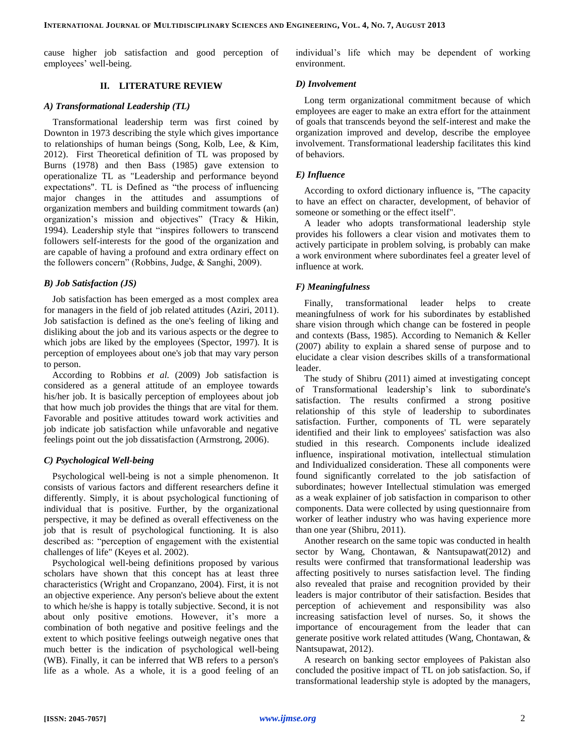cause higher job satisfaction and good perception of employees' well-being.

## **II. LITERATURE REVIEW**

## *A) Transformational Leadership (TL)*

Transformational leadership term was first coined by Downton in 1973 describing the style which gives importance to relationships of human beings (Song, Kolb, Lee, & Kim, 2012). First Theoretical definition of TL was proposed by Burns (1978) and then Bass (1985) gave extension to operationalize TL as "Leadership and performance beyond expectations". TL is Defined as "the process of influencing major changes in the attitudes and assumptions of organization members and building commitment towards (an) organization's mission and objectives" (Tracy & Hikin, 1994). Leadership style that "inspires followers to transcend followers self-interests for the good of the organization and are capable of having a profound and extra ordinary effect on the followers concern" (Robbins, Judge, & Sanghi, 2009).

## *B) Job Satisfaction (JS)*

Job satisfaction has been emerged as a most complex area for managers in the field of job related attitudes (Aziri, 2011). Job satisfaction is defined as the one's feeling of liking and disliking about the job and its various aspects or the degree to which jobs are liked by the employees (Spector, 1997). It is perception of employees about one's job that may vary person to person.

According to Robbins *et al.* (2009) Job satisfaction is considered as a general attitude of an employee towards his/her job. It is basically perception of employees about job that how much job provides the things that are vital for them. Favorable and positive attitudes toward work activities and job indicate job satisfaction while unfavorable and negative feelings point out the job dissatisfaction (Armstrong, 2006).

## *C) Psychological Well-being*

Psychological well-being is not a simple phenomenon. It consists of various factors and different researchers define it differently. Simply, it is about psychological functioning of individual that is positive. Further, by the organizational perspective, it may be defined as overall effectiveness on the job that is result of psychological functioning. It is also described as: "perception of engagement with the existential challenges of life" (Keyes et al. 2002).

Psychological well-being definitions proposed by various scholars have shown that this concept has at least three characteristics (Wright and Cropanzano, 2004). First, it is not an objective experience. Any person's believe about the extent to which he/she is happy is totally subjective. Second, it is not about only positive emotions. However, it's more a combination of both negative and positive feelings and the extent to which positive feelings outweigh negative ones that much better is the indication of psychological well-being (WB). Finally, it can be inferred that WB refers to a person's life as a whole. As a whole, it is a good feeling of an individual's life which may be dependent of working environment.

#### *D) Involvement*

Long term organizational commitment because of which employees are eager to make an extra effort for the attainment of goals that transcends beyond the self-interest and make the organization improved and develop, describe the employee involvement. Transformational leadership facilitates this kind of behaviors.

## *E) Influence*

According to oxford dictionary influence is, "The capacity to have an effect on character, development, of behavior of someone or something or the effect itself".

A leader who adopts transformational leadership style provides his followers a clear vision and motivates them to actively participate in problem solving, is probably can make a work environment where subordinates feel a greater level of influence at work.

## *F) Meaningfulness*

Finally, transformational leader helps to create meaningfulness of work for his subordinates by established share vision through which change can be fostered in people and contexts (Bass, 1985). According to Nemanich & Keller (2007) ability to explain a shared sense of purpose and to elucidate a clear vision describes skills of a transformational leader.

The study of Shibru (2011) aimed at investigating concept of Transformational leadership's link to subordinate's satisfaction. The results confirmed a strong positive relationship of this style of leadership to subordinates satisfaction. Further, components of TL were separately identified and their link to employees' satisfaction was also studied in this research. Components include idealized influence, inspirational motivation, intellectual stimulation and Individualized consideration. These all components were found significantly correlated to the job satisfaction of subordinates; however Intellectual stimulation was emerged as a weak explainer of job satisfaction in comparison to other components. Data were collected by using questionnaire from worker of leather industry who was having experience more than one year (Shibru, 2011).

Another research on the same topic was conducted in health sector by Wang, Chontawan, & Nantsupawat(2012) and results were confirmed that transformational leadership was affecting positively to nurses satisfaction level. The finding also revealed that praise and recognition provided by their leaders is major contributor of their satisfaction. Besides that perception of achievement and responsibility was also increasing satisfaction level of nurses. So, it shows the importance of encouragement from the leader that can generate positive work related attitudes (Wang, Chontawan, & Nantsupawat, 2012).

A research on banking sector employees of Pakistan also concluded the positive impact of TL on job satisfaction. So, if transformational leadership style is adopted by the managers,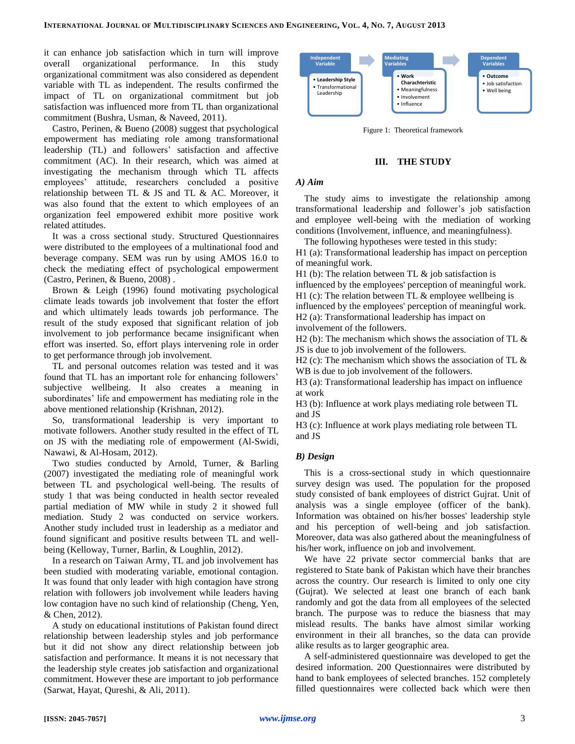it can enhance job satisfaction which in turn will improve overall organizational performance. In this study organizational commitment was also considered as dependent variable with TL as independent. The results confirmed the impact of TL on organizational commitment but job satisfaction was influenced more from TL than organizational commitment (Bushra, Usman, & Naveed, 2011).

Castro, Perinen, & Bueno (2008) suggest that psychological empowerment has mediating role among transformational leadership (TL) and followers' satisfaction and affective commitment (AC). In their research, which was aimed at investigating the mechanism through which TL affects employees' attitude, researchers concluded a positive relationship between TL & JS and TL & AC. Moreover, it was also found that the extent to which employees of an organization feel empowered exhibit more positive work related attitudes.

It was a cross sectional study. Structured Questionnaires were distributed to the employees of a multinational food and beverage company. SEM was run by using AMOS 16.0 to check the mediating effect of psychological empowerment (Castro, Perinen, & Bueno, 2008) .

Brown & Leigh (1996) found motivating psychological climate leads towards job involvement that foster the effort and which ultimately leads towards job performance. The result of the study exposed that significant relation of job involvement to job performance became insignificant when effort was inserted. So, effort plays intervening role in order to get performance through job involvement.

TL and personal outcomes relation was tested and it was found that TL has an important role for enhancing followers' subjective wellbeing. It also creates a meaning in subordinates' life and empowerment has mediating role in the above mentioned relationship (Krishnan, 2012).

So, transformational leadership is very important to motivate followers. Another study resulted in the effect of TL on JS with the mediating role of empowerment (Al-Swidi, Nawawi, & Al-Hosam, 2012).

Two studies conducted by Arnold, Turner, & Barling (2007) investigated the mediating role of meaningful work between TL and psychological well-being. The results of study 1 that was being conducted in health sector revealed partial mediation of MW while in study 2 it showed full mediation. Study 2 was conducted on service workers. Another study included trust in leadership as a mediator and found significant and positive results between TL and wellbeing (Kelloway, Turner, Barlin, & Loughlin, 2012).

In a research on Taiwan Army, TL and job involvement has been studied with moderating variable, emotional contagion. It was found that only leader with high contagion have strong relation with followers job involvement while leaders having low contagion have no such kind of relationship (Cheng, Yen, & Chen, 2012).

A study on educational institutions of Pakistan found direct relationship between leadership styles and job performance but it did not show any direct relationship between job satisfaction and performance. It means it is not necessary that the leadership style creates job satisfaction and organizational commitment. However these are important to job performance (Sarwat, Hayat, Qureshi, & Ali, 2011).



Figure 1: Theoretical framework

## **III. THE STUDY**

#### *A) Aim*

The study aims to investigate the relationship among transformational leadership and follower's job satisfaction and employee well-being with the mediation of working conditions (Involvement, influence, and meaningfulness).

The following hypotheses were tested in this study:

H1 (a): Transformational leadership has impact on perception of meaningful work.

H1 (b): The relation between TL  $\&$  job satisfaction is influenced by the employees' perception of meaningful work. H1 (c): The relation between TL  $\&$  employee wellbeing is

influenced by the employees' perception of meaningful work. H2 (a): Transformational leadership has impact on

involvement of the followers.

H2 (b): The mechanism which shows the association of TL  $\&$ JS is due to job involvement of the followers.

H2 (c): The mechanism which shows the association of TL  $\&$ WB is due to job involvement of the followers.

H3 (a): Transformational leadership has impact on influence at work

H3 (b): Influence at work plays mediating role between TL and JS

H3 (c): Influence at work plays mediating role between TL and JS

## *B) Design*

This is a cross-sectional study in which questionnaire survey design was used. The population for the proposed study consisted of bank employees of district Gujrat. Unit of analysis was a single employee (officer of the bank). Information was obtained on his/her bosses' leadership style and his perception of well-being and job satisfaction. Moreover, data was also gathered about the meaningfulness of his/her work, influence on job and involvement.

We have 22 private sector commercial banks that are registered to State bank of Pakistan which have their branches across the country. Our research is limited to only one city (Gujrat). We selected at least one branch of each bank randomly and got the data from all employees of the selected branch. The purpose was to reduce the biasness that may mislead results. The banks have almost similar working environment in their all branches, so the data can provide alike results as to larger geographic area.

A self-administered questionnaire was developed to get the desired information. 200 Questionnaires were distributed by hand to bank employees of selected branches. 152 completely filled questionnaires were collected back which were then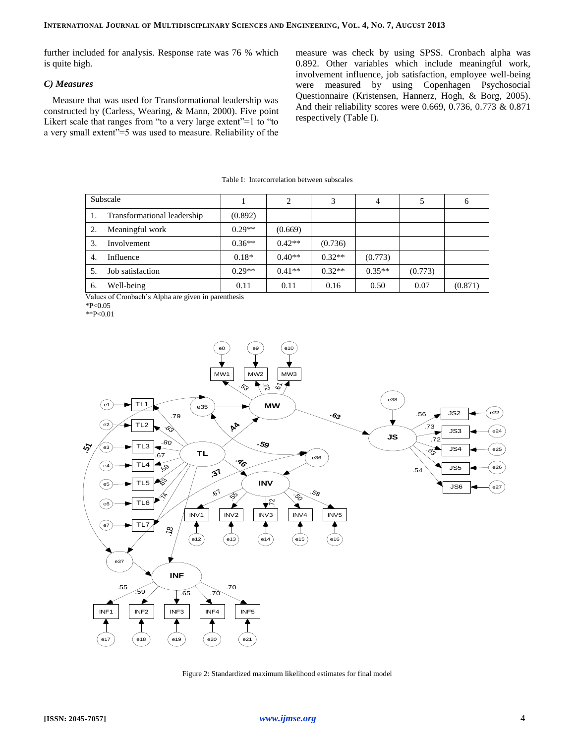further included for analysis. Response rate was 76 % which is quite high.

## *C) Measures*

Measure that was used for Transformational leadership was constructed by (Carless, Wearing, & Mann, 2000). Five point Likert scale that ranges from "to a very large extent"=1 to "to a very small extent"=5 was used to measure. Reliability of the

measure was check by using SPSS. Cronbach alpha was 0.892. Other variables which include meaningful work, involvement influence, job satisfaction, employee well-being were measured by using Copenhagen Psychosocial Questionnaire (Kristensen, Hannerz, Hogh, & Borg, 2005). And their reliability scores were 0.669, 0.736, 0.773 & 0.871 respectively (Table I).

| Subscale |                             |          | 2        | 3        | $\overline{4}$ |         | 6       |
|----------|-----------------------------|----------|----------|----------|----------------|---------|---------|
|          | Transformational leadership | (0.892)  |          |          |                |         |         |
|          | Meaningful work             | $0.29**$ | (0.669)  |          |                |         |         |
| 3.       | Involvement                 | $0.36**$ | $0.42**$ | (0.736)  |                |         |         |
| 4.       | Influence                   | $0.18*$  | $0.40**$ | $0.32**$ | (0.773)        |         |         |
|          | Job satisfaction            | $0.29**$ | $0.41**$ | $0.32**$ | $0.35**$       | (0.773) |         |
| 6.       | Well-being                  | 0.11     | 0.11     | 0.16     | 0.50           | 0.07    | (0.871) |

Table I: Intercorrelation between subscales

Values of Cronbach's Alpha are given in parenthesis

\*P<0.05

\*\*P<0.01



Figure 2: Standardized maximum likelihood estimates for final model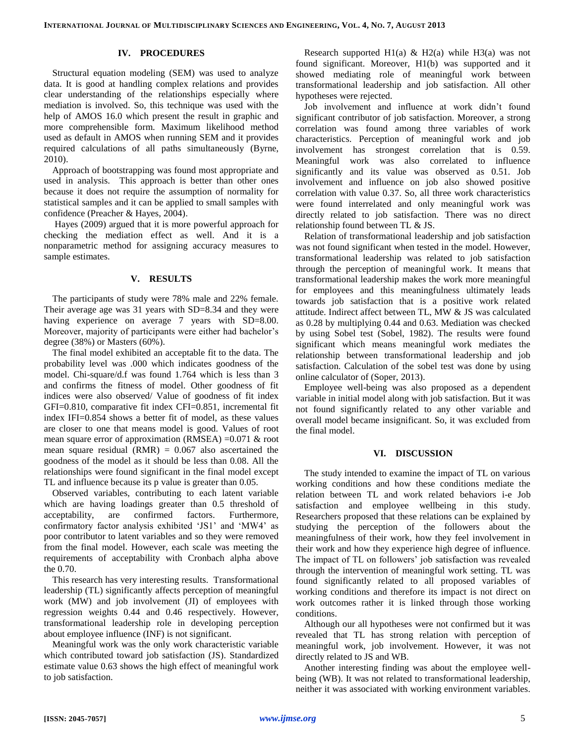## **IV. PROCEDURES**

Structural equation modeling (SEM) was used to analyze data. It is good at handling complex relations and provides clear understanding of the relationships especially where mediation is involved. So, this technique was used with the help of AMOS 16.0 which present the result in graphic and more comprehensible form. Maximum likelihood method used as default in AMOS when running SEM and it provides required calculations of all paths simultaneously (Byrne, 2010).

Approach of bootstrapping was found most appropriate and used in analysis. This approach is better than other ones because it does not require the assumption of normality for statistical samples and it can be applied to small samples with confidence (Preacher & Hayes, 2004).

Hayes (2009) argued that it is more powerful approach for checking the mediation effect as well. And it is a nonparametric method for assigning accuracy measures to sample estimates.

## **V. RESULTS**

The participants of study were 78% male and 22% female. Their average age was 31 years with SD=8.34 and they were having experience on average 7 years with SD=8.00. Moreover, majority of participants were either had bachelor's degree (38%) or Masters (60%).

The final model exhibited an acceptable fit to the data. The probability level was .000 which indicates goodness of the model. Chi-square/d.f was found 1.764 which is less than 3 and confirms the fitness of model. Other goodness of fit indices were also observed/ Value of goodness of fit index GFI=0.810, comparative fit index CFI=0.851, incremental fit index IFI=0.854 shows a better fit of model, as these values are closer to one that means model is good. Values of root mean square error of approximation (RMSEA) =0.071 & root mean square residual  $(RMR) = 0.067$  also ascertained the goodness of the model as it should be less than 0.08. All the relationships were found significant in the final model except TL and influence because its p value is greater than 0.05.

Observed variables, contributing to each latent variable which are having loadings greater than 0.5 threshold of acceptability, are confirmed factors. Furthermore, confirmatory factor analysis exhibited 'JS1' and 'MW4' as poor contributor to latent variables and so they were removed from the final model. However, each scale was meeting the requirements of acceptability with Cronbach alpha above the 0.70.

This research has very interesting results. Transformational leadership (TL) significantly affects perception of meaningful work (MW) and job involvement (JI) of employees with regression weights 0.44 and 0.46 respectively. However, transformational leadership role in developing perception about employee influence (INF) is not significant.

Meaningful work was the only work characteristic variable which contributed toward job satisfaction (JS). Standardized estimate value 0.63 shows the high effect of meaningful work to job satisfaction.

Research supported H1(a) & H2(a) while H3(a) was not found significant. Moreover, H1(b) was supported and it showed mediating role of meaningful work between transformational leadership and job satisfaction. All other hypotheses were rejected.

Job involvement and influence at work didn't found significant contributor of job satisfaction. Moreover, a strong correlation was found among three variables of work characteristics. Perception of meaningful work and job involvement has strongest correlation that is 0.59. Meaningful work was also correlated to influence significantly and its value was observed as 0.51. Job involvement and influence on job also showed positive correlation with value 0.37. So, all three work characteristics were found interrelated and only meaningful work was directly related to job satisfaction. There was no direct relationship found between TL & JS.

Relation of transformational leadership and job satisfaction was not found significant when tested in the model. However, transformational leadership was related to job satisfaction through the perception of meaningful work. It means that transformational leadership makes the work more meaningful for employees and this meaningfulness ultimately leads towards job satisfaction that is a positive work related attitude. Indirect affect between TL, MW & JS was calculated as 0.28 by multiplying 0.44 and 0.63. Mediation was checked by using Sobel test (Sobel, 1982). The results were found significant which means meaningful work mediates the relationship between transformational leadership and job satisfaction. Calculation of the sobel test was done by using online calculator of (Soper, 2013).

Employee well-being was also proposed as a dependent variable in initial model along with job satisfaction. But it was not found significantly related to any other variable and overall model became insignificant. So, it was excluded from the final model.

#### **VI. DISCUSSION**

The study intended to examine the impact of TL on various working conditions and how these conditions mediate the relation between TL and work related behaviors i-e Job satisfaction and employee wellbeing in this study. Researchers proposed that these relations can be explained by studying the perception of the followers about the meaningfulness of their work, how they feel involvement in their work and how they experience high degree of influence. The impact of TL on followers' job satisfaction was revealed through the intervention of meaningful work setting. TL was found significantly related to all proposed variables of working conditions and therefore its impact is not direct on work outcomes rather it is linked through those working conditions.

Although our all hypotheses were not confirmed but it was revealed that TL has strong relation with perception of meaningful work, job involvement. However, it was not directly related to JS and WB.

Another interesting finding was about the employee wellbeing (WB). It was not related to transformational leadership, neither it was associated with working environment variables.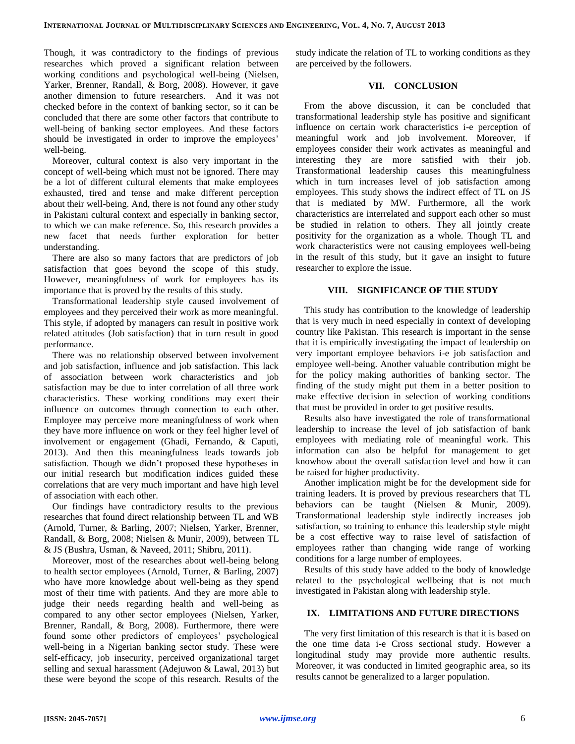Though, it was contradictory to the findings of previous researches which proved a significant relation between working conditions and psychological well-being (Nielsen, Yarker, Brenner, Randall, & Borg, 2008). However, it gave another dimension to future researchers. And it was not checked before in the context of banking sector, so it can be concluded that there are some other factors that contribute to well-being of banking sector employees. And these factors should be investigated in order to improve the employees' well-being.

Moreover, cultural context is also very important in the concept of well-being which must not be ignored. There may be a lot of different cultural elements that make employees exhausted, tired and tense and make different perception about their well-being. And, there is not found any other study in Pakistani cultural context and especially in banking sector, to which we can make reference. So, this research provides a new facet that needs further exploration for better understanding.

There are also so many factors that are predictors of job satisfaction that goes beyond the scope of this study. However, meaningfulness of work for employees has its importance that is proved by the results of this study.

Transformational leadership style caused involvement of employees and they perceived their work as more meaningful. This style, if adopted by managers can result in positive work related attitudes (Job satisfaction) that in turn result in good performance.

There was no relationship observed between involvement and job satisfaction, influence and job satisfaction. This lack of association between work characteristics and job satisfaction may be due to inter correlation of all three work characteristics. These working conditions may exert their influence on outcomes through connection to each other. Employee may perceive more meaningfulness of work when they have more influence on work or they feel higher level of involvement or engagement (Ghadi, Fernando, & Caputi, 2013). And then this meaningfulness leads towards job satisfaction. Though we didn't proposed these hypotheses in our initial research but modification indices guided these correlations that are very much important and have high level of association with each other.

Our findings have contradictory results to the previous researches that found direct relationship between TL and WB (Arnold, Turner, & Barling, 2007; Nielsen, Yarker, Brenner, Randall, & Borg, 2008; Nielsen & Munir, 2009), between TL & JS (Bushra, Usman, & Naveed, 2011; Shibru, 2011).

Moreover, most of the researches about well-being belong to health sector employees (Arnold, Turner, & Barling, 2007) who have more knowledge about well-being as they spend most of their time with patients. And they are more able to judge their needs regarding health and well-being as compared to any other sector employees (Nielsen, Yarker, Brenner, Randall, & Borg, 2008). Furthermore, there were found some other predictors of employees' psychological well-being in a Nigerian banking sector study. These were self-efficacy, job insecurity, perceived organizational target selling and sexual harassment (Adejuwon & Lawal, 2013) but these were beyond the scope of this research. Results of the

study indicate the relation of TL to working conditions as they are perceived by the followers.

## **VII. CONCLUSION**

From the above discussion, it can be concluded that transformational leadership style has positive and significant influence on certain work characteristics i-e perception of meaningful work and job involvement. Moreover, if employees consider their work activates as meaningful and interesting they are more satisfied with their job. Transformational leadership causes this meaningfulness which in turn increases level of job satisfaction among employees. This study shows the indirect effect of TL on JS that is mediated by MW. Furthermore, all the work characteristics are interrelated and support each other so must be studied in relation to others. They all jointly create positivity for the organization as a whole. Though TL and work characteristics were not causing employees well-being in the result of this study, but it gave an insight to future researcher to explore the issue.

## **VIII. SIGNIFICANCE OF THE STUDY**

This study has contribution to the knowledge of leadership that is very much in need especially in context of developing country like Pakistan. This research is important in the sense that it is empirically investigating the impact of leadership on very important employee behaviors i-e job satisfaction and employee well-being. Another valuable contribution might be for the policy making authorities of banking sector. The finding of the study might put them in a better position to make effective decision in selection of working conditions that must be provided in order to get positive results.

Results also have investigated the role of transformational leadership to increase the level of job satisfaction of bank employees with mediating role of meaningful work. This information can also be helpful for management to get knowhow about the overall satisfaction level and how it can be raised for higher productivity.

Another implication might be for the development side for training leaders. It is proved by previous researchers that TL behaviors can be taught (Nielsen & Munir, 2009). Transformational leadership style indirectly increases job satisfaction, so training to enhance this leadership style might be a cost effective way to raise level of satisfaction of employees rather than changing wide range of working conditions for a large number of employees.

Results of this study have added to the body of knowledge related to the psychological wellbeing that is not much investigated in Pakistan along with leadership style.

## **IX. LIMITATIONS AND FUTURE DIRECTIONS**

The very first limitation of this research is that it is based on the one time data i-e Cross sectional study. However a longitudinal study may provide more authentic results. Moreover, it was conducted in limited geographic area, so its results cannot be generalized to a larger population.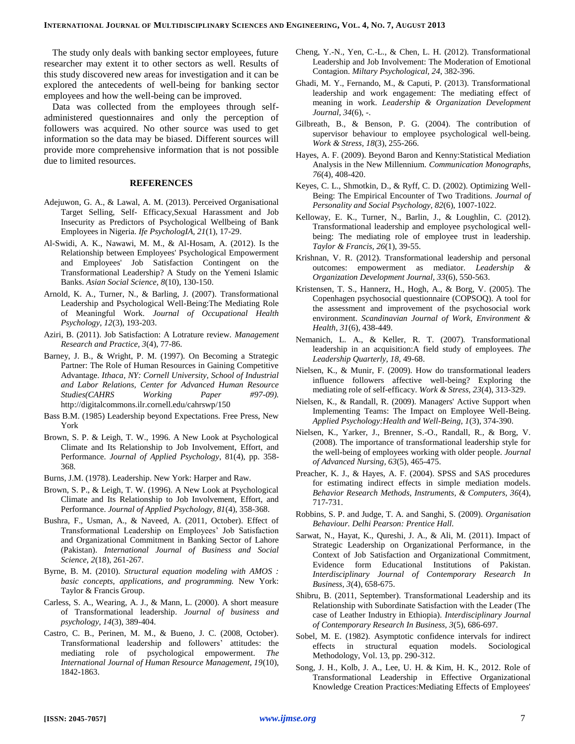The study only deals with banking sector employees, future researcher may extent it to other sectors as well. Results of this study discovered new areas for investigation and it can be explored the antecedents of well-being for banking sector employees and how the well-being can be improved.

Data was collected from the employees through selfadministered questionnaires and only the perception of followers was acquired. No other source was used to get information so the data may be biased. Different sources will provide more comprehensive information that is not possible due to limited resources.

#### **REFERENCES**

- Adejuwon, G. A., & Lawal, A. M. (2013). Perceived Organisational Target Selling, Self- Efficacy,Sexual Harassment and Job Insecurity as Predictors of Psychological Wellbeing of Bank Employees in Nigeria. *Ife PsychologIA, 21*(1), 17-29.
- Al-Swidi, A. K., Nawawi, M. M., & Al-Hosam, A. (2012). Is the Relationship between Employees' Psychological Empowerment and Employees' Job Satisfaction Contingent on the Transformational Leadership? A Study on the Yemeni Islamic Banks. *Asian Social Science, 8*(10), 130-150.
- Arnold, K. A., Turner, N., & Barling, J. (2007). Transformational Leadership and Psychological Well-Being:The Mediating Role of Meaningful Work. *Journal of Occupational Health Psychology, 12*(3), 193-203.
- Aziri, B. (2011). Job Satisfaction: A Lotrature review. *Management Research and Practice, 3*(4), 77-86.
- Barney, J. B., & Wright, P. M. (1997). On Becoming a Strategic Partner: The Role of Human Resources in Gaining Competitive Advantage. *Ithaca, NY: Cornell University, School of Industrial and Labor Relations, Center for Advanced Human Resource Studies(CAHRS Working Paper #97-09).* http://digitalcommons.ilr.cornell.edu/cahrswp/150
- Bass B.M. (1985) Leadership beyond Expectations. Free Press, New York
- Brown, S. P. & Leigh, T. W., 1996. A New Look at Psychological Climate and Its Relationship to Job Involvement, Effort, and Performance. *Journal of Applied Psychology*, 81(4), pp. 358- 368.
- Burns, J.M. (1978). Leadership. New York: Harper and Raw.
- Brown, S. P., & Leigh, T. W. (1996). A New Look at Psychological Climate and Its Relationship to Job Involvement, Effort, and Performance. *Journal of Applied Psychology, 81*(4), 358-368.
- Bushra, F., Usman, A., & Naveed, A. (2011, October). Effect of Transformational Leadership on Employees' Job Satisfaction and Organizational Commitment in Banking Sector of Lahore (Pakistan). *International Journal of Business and Social Science, 2*(18), 261-267.
- Byrne, B. M. (2010). *Structural equation modeling with AMOS : basic concepts, applications, and programming.* New York: Taylor & Francis Group.
- Carless, S. A., Wearing, A. J., & Mann, L. (2000). A short measure of Transformational leadership. *Journal of business and psychology, 14*(3), 389-404.
- Castro, C. B., Perinen, M. M., & Bueno, J. C. (2008, October). Transformational leadership and followers' attitudes: the mediating role of psychological empowerment. *The International Journal of Human Resource Management, 19*(10), 1842-1863.
- Cheng, Y.-N., Yen, C.-L., & Chen, L. H. (2012). Transformational Leadership and Job Involvement: The Moderation of Emotional Contagion. *Miltary Psychological, 24*, 382-396.
- Ghadi, M. Y., Fernando, M., & Caputi, P. (2013). Transformational leadership and work engagement: The mediating effect of meaning in work. *Leadership & Organization Development Journal, 34*(6), -.
- Gilbreath, B., & Benson, P. G. (2004). The contribution of supervisor behaviour to employee psychological well-being. *Work & Stress, 18*(3), 255-266.
- Hayes, A. F. (2009). Beyond Baron and Kenny:Statistical Mediation Analysis in the New Millennium. *Communication Monographs, 76*(4), 408-420.
- Keyes, C. L., Shmotkin, D., & Ryff, C. D. (2002). Optimizing Well-Being: The Empirical Encounter of Two Traditions. *Journal of Personality and Social Psychology, 82*(6), 1007-1022.
- Kelloway, E. K., Turner, N., Barlin, J., & Loughlin, C. (2012). Transformational leadership and employee psychological wellbeing: The mediating role of employee trust in leadership. *Taylor & Francis, 26*(1), 39-55.
- Krishnan, V. R. (2012). Transformational leadership and personal outcomes: empowerment as mediator. *Leadership Organization Development Journal, 33*(6), 550-563.
- Kristensen, T. S., Hannerz, H., Hogh, A., & Borg, V. (2005). The Copenhagen psychosocial questionnaire (COPSOQ). A tool for the assessment and improvement of the psychosocial work environment. *Scandinavian Journal of Work, Environment & Health, 31*(6), 438-449.
- Nemanich, L. A., & Keller, R. T. (2007). Transformational leadership in an acquisition:A field study of employees. *The Leadership Quarterly, 18*, 49-68.
- Nielsen, K., & Munir, F. (2009). How do transformational leaders influence followers affective well-being? Exploring the mediating role of self-efficacy. *Work & Stress, 23*(4), 313-329.
- Nielsen, K., & Randall, R. (2009). Managers' Active Support when Implementing Teams: The Impact on Employee Well-Being. *Applied Psychology:Health and Well-Being, 1*(3), 374-390.
- Nielsen, K., Yarker, J., Brenner, S.-O., Randall, R., & Borg, V. (2008). The importance of transformational leadership style for the well-being of employees working with older people. *Journal of Advanced Nursing, 63*(5), 465-475.
- Preacher, K. J., & Hayes, A. F. (2004). SPSS and SAS procedures for estimating indirect effects in simple mediation models. *Behavior Research Methods, Instruments, & Computers, 36*(4), 717-731.
- Robbins, S. P. and Judge, T. A. and Sanghi, S. (2009). *Organisation Behaviour. Delhi Pearson: Prentice Hall.*
- Sarwat, N., Hayat, K., Qureshi, J. A., & Ali, M. (2011). Impact of Strategic Leadership on Organizational Performance, in the Context of Job Satisfaction and Organizational Commitment, Evidence form Educational Institutions of Pakistan. *Interdisciplinary Journal of Contemporary Research In Business, 3*(4), 658-675.
- Shibru, B. (2011, September). Transformational Leadership and its Relationship with Subordinate Satisfaction with the Leader (The case of Leather Industry in Ethiopia). *Interdisciplinary Journal of Contemporary Research In Business, 3*(5), 686-697.
- Sobel, M. E. (1982). Asymptotic confidence intervals for indirect effects in structural equation models. Sociological Methodology, Vol. 13, pp. 290-312.
- Song, J. H., Kolb, J. A., Lee, U. H. & Kim, H. K., 2012. Role of Transformational Leadership in Effective Organizational Knowledge Creation Practices:Mediating Effects of Employees'